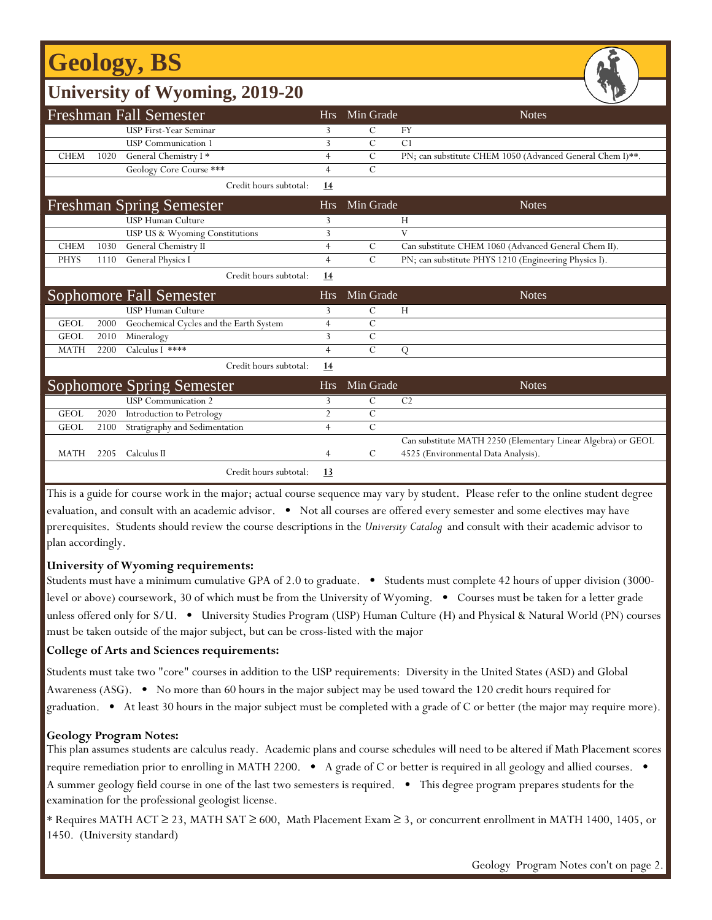# **Geology, BS**

| <b>University of Wyoming, 2019-20</b> |      |                                         |                |                |                                                              |  |  |  |  |
|---------------------------------------|------|-----------------------------------------|----------------|----------------|--------------------------------------------------------------|--|--|--|--|
| <b>Freshman Fall Semester</b>         |      |                                         |                | Min Grade      | <b>Notes</b>                                                 |  |  |  |  |
|                                       |      | <b>USP First-Year Seminar</b>           | 3              | С              | FY                                                           |  |  |  |  |
|                                       |      | <b>USP</b> Communication 1              | 3              | $\mathcal{C}$  | C <sub>1</sub>                                               |  |  |  |  |
| <b>CHEM</b>                           | 1020 | General Chemistry I*                    | $\overline{4}$ | $\mathcal{C}$  | PN; can substitute CHEM 1050 (Advanced General Chem I)**.    |  |  |  |  |
|                                       |      | Geology Core Course ***                 | $\overline{4}$ | $\mathcal{C}$  |                                                              |  |  |  |  |
|                                       |      | Credit hours subtotal:                  | 14             |                |                                                              |  |  |  |  |
| Freshman Spring Semester              |      |                                         | <b>Hrs</b>     | Min Grade      | <b>Notes</b>                                                 |  |  |  |  |
|                                       |      | <b>USP Human Culture</b>                | 3              |                | H                                                            |  |  |  |  |
|                                       |      | USP US & Wyoming Constitutions          | 3              |                | V                                                            |  |  |  |  |
| <b>CHEM</b>                           | 1030 | General Chemistry II                    | $\overline{4}$ | C              | Can substitute CHEM 1060 (Advanced General Chem II).         |  |  |  |  |
| <b>PHYS</b>                           | 1110 | General Physics I                       | $\overline{4}$ | $\mathcal{C}$  | PN; can substitute PHYS 1210 (Engineering Physics I).        |  |  |  |  |
|                                       |      | Credit hours subtotal:                  | 14             |                |                                                              |  |  |  |  |
| Sophomore Fall Semester               |      |                                         | <b>Hrs</b>     | Min Grade      | <b>Notes</b>                                                 |  |  |  |  |
|                                       |      | <b>USP Human Culture</b>                | 3              | С              | H                                                            |  |  |  |  |
| <b>GEOL</b>                           | 2000 | Geochemical Cycles and the Earth System | $\overline{4}$ | $\mathcal{C}$  |                                                              |  |  |  |  |
| <b>GEOL</b>                           | 2010 | Mineralogy                              | 3              | $\mathcal{C}$  |                                                              |  |  |  |  |
| <b>MATH</b>                           | 2200 | Calculus I ****                         | $\overline{4}$ | $\overline{C}$ | Q                                                            |  |  |  |  |
|                                       |      | Credit hours subtotal:                  | 14             |                |                                                              |  |  |  |  |
| <b>Sophomore Spring Semester</b>      |      |                                         | <b>Hrs</b>     | Min Grade      | <b>Notes</b>                                                 |  |  |  |  |
|                                       |      | <b>USP</b> Communication 2              | 3              | С              | C <sub>2</sub>                                               |  |  |  |  |
| <b>GEOL</b>                           | 2020 | Introduction to Petrology               | $\overline{2}$ | $\mathcal{C}$  |                                                              |  |  |  |  |
| <b>GEOL</b>                           | 2100 | Stratigraphy and Sedimentation          | $\overline{4}$ | $\mathcal{C}$  |                                                              |  |  |  |  |
|                                       |      |                                         |                |                | Can substitute MATH 2250 (Elementary Linear Algebra) or GEOL |  |  |  |  |
| <b>MATH</b>                           | 2205 | Calculus II                             | $\overline{4}$ | C              | 4525 (Environmental Data Analysis).                          |  |  |  |  |

Credit hours subtotal: **13**

This is a guide for course work in the major; actual course sequence may vary by student. Please refer to the online student degree evaluation, and consult with an academic advisor. • Not all courses are offered every semester and some electives may have prerequisites. Students should review the course descriptions in the *University Catalog* and consult with their academic advisor to plan accordingly.

### **University of Wyoming requirements:**

Students must have a minimum cumulative GPA of 2.0 to graduate. • Students must complete 42 hours of upper division (3000 level or above) coursework, 30 of which must be from the University of Wyoming. • Courses must be taken for a letter grade unless offered only for S/U. • University Studies Program (USP) Human Culture (H) and Physical & Natural World (PN) courses must be taken outside of the major subject, but can be cross-listed with the major

### **College of Arts and Sciences requirements:**

Students must take two "core" courses in addition to the USP requirements: Diversity in the United States (ASD) and Global Awareness (ASG). • No more than 60 hours in the major subject may be used toward the 120 credit hours required for graduation. • At least 30 hours in the major subject must be completed with a grade of C or better (the major may require more).

### **Geology Program Notes:**

f

This plan assumes students are calculus ready. Academic plans and course schedules will need to be altered if Math Placement scores require remediation prior to enrolling in MATH 2200. • A grade of C or better is required in all geology and allied courses. • A summer geology field course in one of the last two semesters is required. • This degree program prepares students for the examination for the professional geologist license.

\* Requires MATH ACT ≥ 23, MATH SAT ≥ 600, Math Placement Exam ≥ 3, or concurrent enrollment in MATH 1400, 1405, or 1450. (University standard)